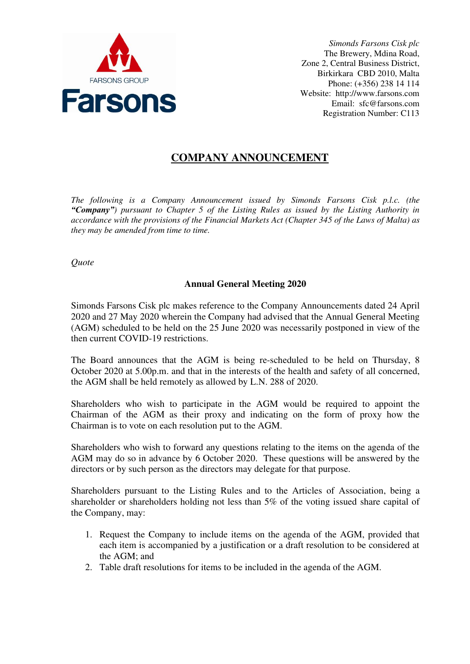

*Simonds Farsons Cisk plc*  The Brewery, Mdina Road, Zone 2, Central Business District, Birkirkara CBD 2010, Malta Phone: (+356) 238 14 114 Website: http://www.farsons.com Email: sfc@farsons.com Registration Number: C113

## **COMPANY ANNOUNCEMENT**

*The following is a Company Announcement issued by Simonds Farsons Cisk p.l.c. (the "Company") pursuant to Chapter 5 of the Listing Rules as issued by the Listing Authority in accordance with the provisions of the Financial Markets Act (Chapter 345 of the Laws of Malta) as they may be amended from time to time.*

*Quote* 

## **Annual General Meeting 2020**

Simonds Farsons Cisk plc makes reference to the Company Announcements dated 24 April 2020 and 27 May 2020 wherein the Company had advised that the Annual General Meeting (AGM) scheduled to be held on the 25 June 2020 was necessarily postponed in view of the then current COVID-19 restrictions.

The Board announces that the AGM is being re-scheduled to be held on Thursday, 8 October 2020 at 5.00p.m. and that in the interests of the health and safety of all concerned, the AGM shall be held remotely as allowed by L.N. 288 of 2020.

Shareholders who wish to participate in the AGM would be required to appoint the Chairman of the AGM as their proxy and indicating on the form of proxy how the Chairman is to vote on each resolution put to the AGM.

Shareholders who wish to forward any questions relating to the items on the agenda of the AGM may do so in advance by 6 October 2020. These questions will be answered by the directors or by such person as the directors may delegate for that purpose.

Shareholders pursuant to the Listing Rules and to the Articles of Association, being a shareholder or shareholders holding not less than 5% of the voting issued share capital of the Company, may:

- 1. Request the Company to include items on the agenda of the AGM, provided that each item is accompanied by a justification or a draft resolution to be considered at the AGM; and
- 2. Table draft resolutions for items to be included in the agenda of the AGM.